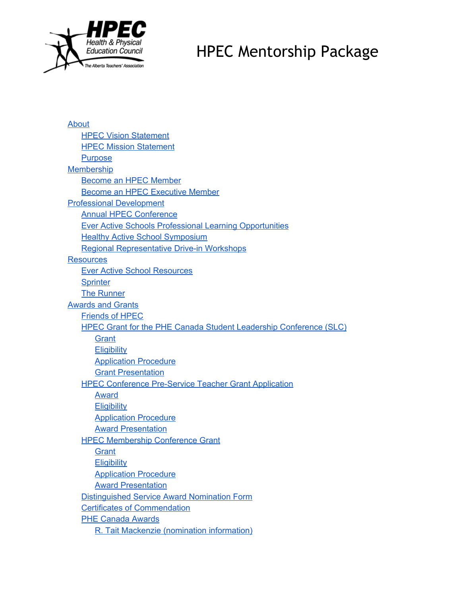

[About](#page-2-0) **HPEC Vision [Statement](#page-2-1)** HPEC Mission [Statement](#page-2-2) **[Purpose](#page-2-3)** [Membership](#page-2-4) [Become](#page-3-0) an HPEC Member Become an HPEC [Executive](#page-3-1) Member Professional [Development](#page-3-2) Annual HPEC [Conference](#page-3-3) Ever Active Schools Professional Learning [Opportunities](#page-3-4) Healthy Active School [Symposium](#page-4-0) Regional [Representative](#page-4-1) Drive-in Workshops **[Resources](#page-4-2)** Ever Active School [Resources](#page-4-3) **[Sprinter](#page-4-4)** The [Runner](#page-5-0) [Awards](#page-5-1) and Grants [Friends](#page-5-2) of HPEC HPEC Grant for the PHE Canada Student Leadership [Conference](#page-5-3) (SLC) **[Grant](#page-5-4) [Eligibility](#page-6-0)** [Application](#page-6-1) Procedure Grant [Presentation](#page-6-2) HPEC Conference Pre-Service Teacher Grant Application [Award](#page-6-4) **[Eligibility](#page-7-0)** [Application](#page-7-1) Procedure Award [Presentation](#page-7-2) HPEC [Membership](#page-7-3) Conference Grant **[Grant](#page-7-4) [Eligibility](#page-7-5)** [Application](#page-8-0) Procedure Award [Presentation](#page-8-1) [Distinguished](#page-8-2) Service Award Nomination Form Certificates of [Commendation](#page-8-3) PHE [Canada](#page-9-0) Awards R. Tait Mackenzie (nomination [information\)](#page-9-0)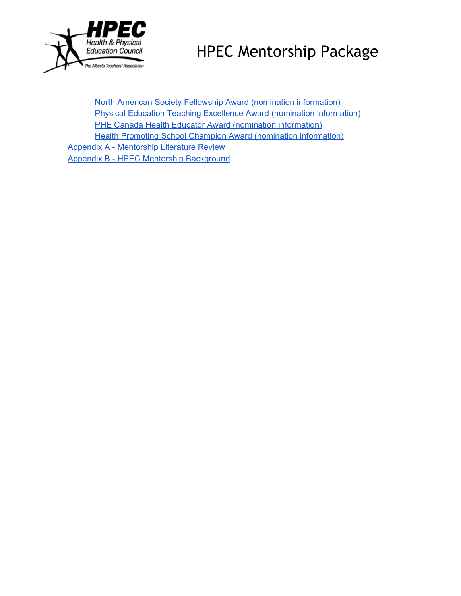

North American Society Fellowship Award (nomination [information\)](#page-9-1) Physical Education Teaching Excellence Award (nomination [information\)](#page-9-0) PHE Canada Health Educator Award (nomination [information\)](#page-9-0) **Health Promoting School Champion Award (nomination [information\)](#page-10-0) Appendix A - [Mentorship](#page-10-1) Literature Review** Appendix B - HPEC Mentorship [Background](#page-10-2)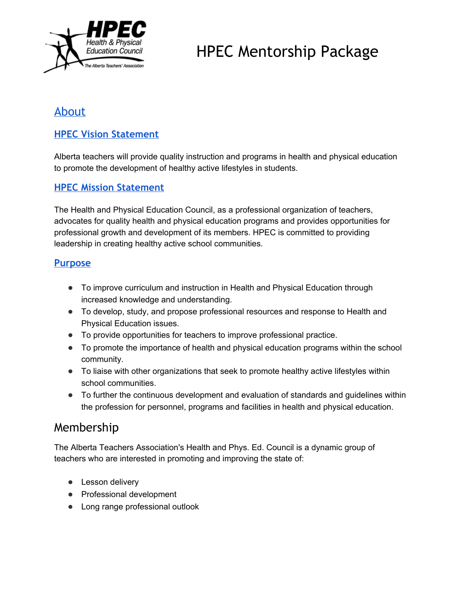

## <span id="page-2-0"></span>[About](http://www.hpec.ab.ca/about)

### <span id="page-2-1"></span>**HPEC Vision [Statement](http://www.hpec.ab.ca/about)**

Alberta teachers will provide quality instruction and programs in health and physical education to promote the development of healthy active lifestyles in students.

### <span id="page-2-2"></span>**HPEC Mission [Statement](http://www.hpec.ab.ca/about)**

The Health and Physical Education Council, as a professional organization of teachers, advocates for quality health and physical education programs and provides opportunities for professional growth and development of its members. HPEC is committed to providing leadership in creating healthy active school communities.

#### <span id="page-2-3"></span>**[Purpose](http://www.hpec.ab.ca/about)**

- To improve curriculum and instruction in Health and Physical Education through increased knowledge and understanding.
- To develop, study, and propose professional resources and response to Health and Physical Education issues.
- To provide opportunities for teachers to improve professional practice.
- To promote the importance of health and physical education programs within the school community.
- To liaise with other organizations that seek to promote healthy active lifestyles within school communities.
- To further the continuous development and evaluation of standards and guidelines within the profession for personnel, programs and facilities in health and physical education.

## <span id="page-2-4"></span>Membership

The Alberta Teachers Association's Health and Phys. Ed. Council is a dynamic group of teachers who are interested in promoting and improving the state of:

- Lesson delivery
- Professional development
- Long range professional outlook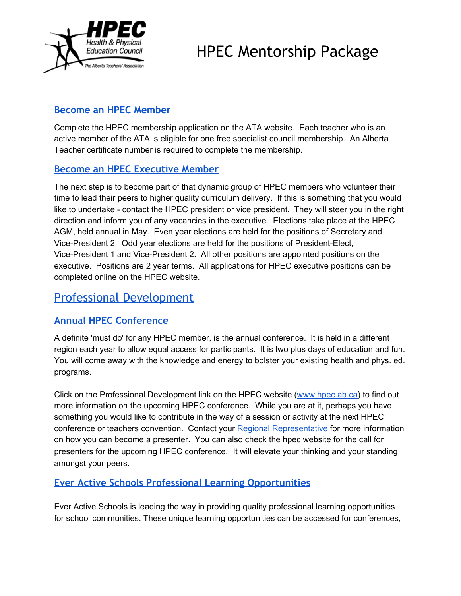

## <span id="page-3-0"></span>**Become an HPEC [Member](https://access.teachers.ab.ca/Pages/Login.aspx?ru=aHR0cDovL3d3dy50ZWFjaGVycy5hYi5jYS9QYWdlcy9Ib21lLmFzcHg=)**

Complete the HPEC membership application on the ATA website. Each teacher who is an active member of the ATA is eligible for one free specialist council membership. An Alberta Teacher certificate number is required to complete the membership.

#### <span id="page-3-1"></span>**Become an HPEC [Executive](http://www.hpec.ab.ca/content.php?nid=1699) Member**

The next step is to become part of that dynamic group of HPEC members who volunteer their time to lead their peers to higher quality curriculum delivery. If this is something that you would like to undertake - contact the HPEC president or vice president. They will steer you in the right direction and inform you of any vacancies in the executive. Elections take place at the HPEC AGM, held annual in May. Even year elections are held for the positions of Secretary and Vice-President 2. Odd year elections are held for the positions of President-Elect, Vice-President 1 and Vice-President 2. All other positions are appointed positions on the executive. Positions are 2 year terms. All applications for HPEC executive positions can be completed online on the HPEC website.

## <span id="page-3-2"></span>Professional [Development](http://www.hpec.ab.ca/conferences-workshops)

## <span id="page-3-3"></span>**Annual HPEC [Conference](http://www.hpec.ab.ca/content.php?nid=1540&mid=858)**

A definite 'must do' for any HPEC member, is the annual conference. It is held in a different region each year to allow equal access for participants. It is two plus days of education and fun. You will come away with the knowledge and energy to bolster your existing health and phys. ed. programs.

Click on the Professional Development link on the HPEC website [\(www.hpec.ab.ca\)](http://www.hpec.ab.ca/) to find out more information on the upcoming HPEC conference. While you are at it, perhaps you have something you would like to contribute in the way of a session or activity at the next HPEC conference or teachers convention. Contact your Regional [Representative](http://www.hpec.ab.ca/content.php?nid=2069&mid=906) for more information on how you can become a presenter. You can also check the hpec website for the call for presenters for the upcoming HPEC conference. It will elevate your thinking and your standing amongst your peers.

## <span id="page-3-4"></span>**Ever Active Schools Professional Learning [Opportunities](http://www.everactive.org/professional-learning-opportunities)**

Ever Active Schools is leading the way in providing quality professional learning opportunities for school communities. These unique learning opportunities can be accessed for conferences,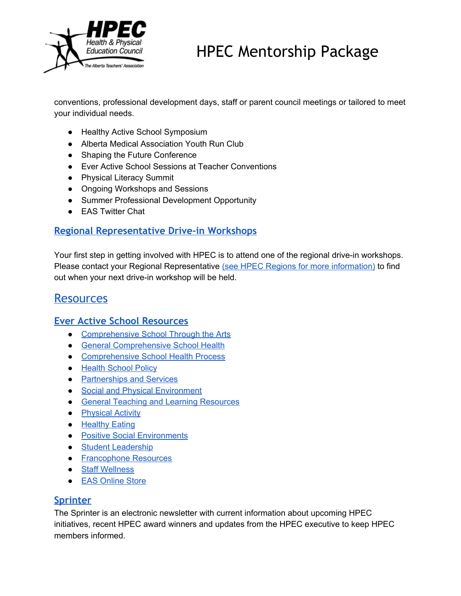

conventions, professional development days, staff or parent council meetings or tailored to meet your individual needs.

- <span id="page-4-0"></span>● Healthy Active School Symposium
- Alberta Medical Association Youth Run Club
- Shaping the Future Conference
- Ever Active School Sessions at Teacher Conventions
- Physical Literacy Summit
- Ongoing Workshops and Sessions
- Summer Professional Development Opportunity
- EAS Twitter Chat

### <span id="page-4-1"></span>**Regional [Representative](http://www.hpec.ab.ca/hpec-workshops) Drive-in Workshops**

Your first step in getting involved with HPEC is to attend one of the regional drive-in workshops. Please contact your Regional Representative (see HPEC Regions for more [information\)](http://www.hpec.ab.ca/content.php?nid=2069) to find out when your next drive-in workshop will be held.

## <span id="page-4-2"></span>**[Resources](http://www.hpec.ab.ca/resources)**

#### <span id="page-4-3"></span>**Ever Active School [Resources](http://www.everactive.org/resources-1)**

- [Comprehensive](http://www.everactive.org/comprehensive-school-health-and-the-arts?id=1396) School Through the Arts
- General [Comprehensive](http://www.everactive.org/general-comprehensive-school-health?id=1396) School Health
- [Comprehensive](http://www.everactive.org/comprehensive-school-health-process-1?id=1396) School Health Process
- Health [School](http://www.everactive.org/healthy-school-policy-1?id=1396) Policy
- [Partnerships](http://www.everactive.org/partnerships-and-services-1?id=1396) and Services
- Social and Physical [Environment](http://www.everactive.org/social-and-physical-environment-1?id=1396)
- General Teaching and Learning [Resources](http://www.everactive.org/teaching-and-learning-1?id=1396)
- [Physical](http://www.everactive.org/physical-activity?id=1396) Activity
- [Healthy](http://www.everactive.org/healthy-eating-1?id=1396) Eating
- Positive Social [Environments](http://www.everactive.org/positive-social-environments-1?id=1396)
- Student [Leadership](http://www.everactive.org/student-leadership-1?id=1396)
- [Francophone](http://www.everactive.org/francophone-resources?id=1396) Resources
- Staff [Wellness](http://www.everactive.org/staff-wellness-1?id=1396)
- EAS [Online](http://www.everactive.org/online-store) Store

#### <span id="page-4-4"></span>**[Sprinter](http://www.hpec.ab.ca/the-sprinter)**

The Sprinter is an electronic newsletter with current information about upcoming HPEC initiatives, recent HPEC award winners and updates from the HPEC executive to keep HPEC members informed.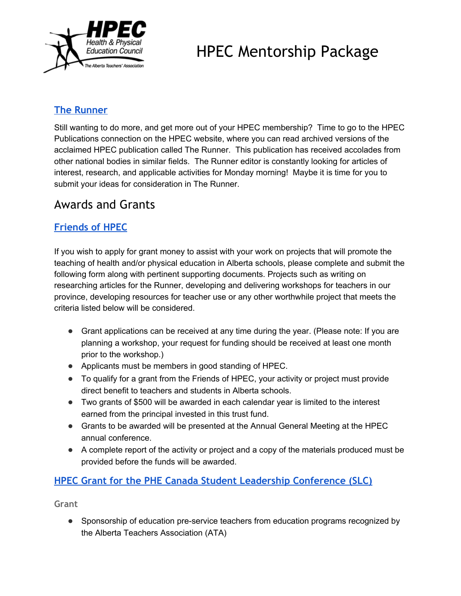

## <span id="page-5-0"></span>**The [Runner](http://www.hpec.ab.ca/the-runner)**

Still wanting to do more, and get more out of your HPEC membership? Time to go to the HPEC Publications connection on the HPEC website, where you can read archived versions of the acclaimed HPEC publication called The Runner. This publication has received accolades from other national bodies in similar fields. The Runner editor is constantly looking for articles of interest, research, and applicable activities for Monday morning! Maybe it is time for you to submit your ideas for consideration in The Runner.

## <span id="page-5-1"></span>Awards and Grants

## <span id="page-5-2"></span>**[Friends](http://www.hpec.ab.ca/content.php?nid=1649&mid=883) of HPEC**

If you wish to apply for grant money to assist with your work on projects that will promote the teaching of health and/or physical education in Alberta schools, please complete and submit the following form along with pertinent supporting documents. Projects such as writing on researching articles for the Runner, developing and delivering workshops for teachers in our province, developing resources for teacher use or any other worthwhile project that meets the criteria listed below will be considered.

- Grant applications can be received at any time during the year. (Please note: If you are planning a workshop, your request for funding should be received at least one month prior to the workshop.)
- Applicants must be members in good standing of HPEC.
- To qualify for a grant from the Friends of HPEC, your activity or project must provide direct benefit to teachers and students in Alberta schools.
- Two grants of \$500 will be awarded in each calendar year is limited to the interest earned from the principal invested in this trust fund.
- Grants to be awarded will be presented at the Annual General Meeting at the HPEC annual conference.
- A complete report of the activity or project and a copy of the materials produced must be provided before the funds will be awarded.

## <span id="page-5-3"></span>**HPEC Grant for the PHE Canada Student Leadership [Conference](http://www.hpec.ab.ca/content.php?nid=1653&mid=883) (SLC)**

<span id="page-5-4"></span>**Grant**

• Sponsorship of education pre-service teachers from education programs recognized by the Alberta Teachers Association (ATA)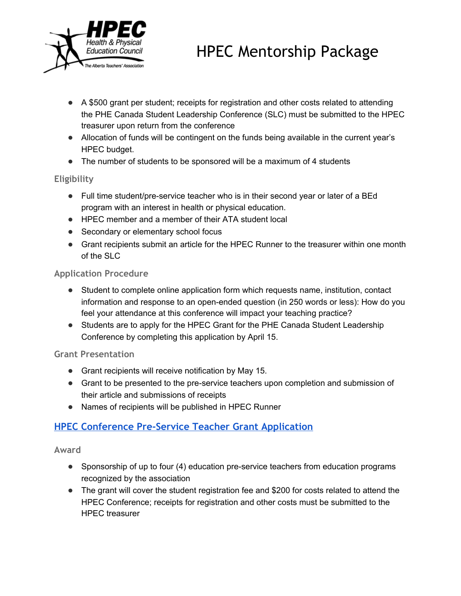

- A \$500 grant per student; receipts for registration and other costs related to attending the PHE Canada Student Leadership Conference (SLC) must be submitted to the HPEC treasurer upon return from the conference
- Allocation of funds will be contingent on the funds being available in the current year's HPEC budget.
- The number of students to be sponsored will be a maximum of 4 students

#### <span id="page-6-0"></span>**Eligibility**

- Full time student/pre-service teacher who is in their second year or later of a BEd program with an interest in health or physical education.
- HPEC member and a member of their ATA student local
- Secondary or elementary school focus
- Grant recipients submit an article for the HPEC Runner to the treasurer within one month of the SLC

#### <span id="page-6-1"></span>**Application Procedure**

- Student to complete online application form which requests name, institution, contact information and response to an open-ended question (in 250 words or less): How do you feel your attendance at this conference will impact your teaching practice?
- Students are to apply for the HPEC Grant for the PHE Canada Student Leadership Conference by completing this application by April 15.

#### <span id="page-6-2"></span>**Grant Presentation**

- Grant recipients will receive notification by May 15.
- Grant to be presented to the pre-service teachers upon completion and submission of their article and submissions of receipts
- Names of recipients will be published in HPEC Runner

## <span id="page-6-3"></span>**HPEC [Conference](http://www.hpec.ab.ca/content.php?nid=1657&mid=883) Pre-Service Teacher Grant Application**

#### <span id="page-6-4"></span>**Award**

- Sponsorship of up to four (4) education pre-service teachers from education programs recognized by the association
- The grant will cover the student registration fee and \$200 for costs related to attend the HPEC Conference; receipts for registration and other costs must be submitted to the HPEC treasurer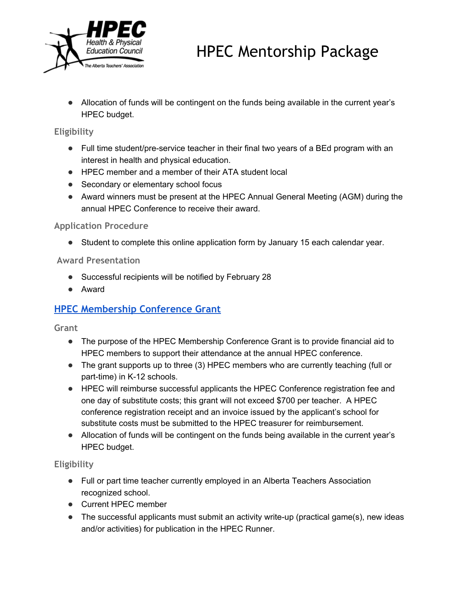

● Allocation of funds will be contingent on the funds being available in the current year's HPEC budget.

#### <span id="page-7-0"></span>**Eligibility**

- Full time student/pre-service teacher in their final two years of a BEd program with an interest in health and physical education.
- HPEC member and a member of their ATA student local
- Secondary or elementary school focus
- Award winners must be present at the HPEC Annual General Meeting (AGM) during the annual HPEC Conference to receive their award.

#### <span id="page-7-1"></span>**Application Procedure**

● Student to complete this online application form by January 15 each calendar year.

#### <span id="page-7-2"></span>**Award Presentation**

- Successful recipients will be notified by February 28
- Award

## <span id="page-7-3"></span>**HPEC [Membership](http://www.hpec.ab.ca/content.php?nid=1661&mid=883) Conference Grant**

<span id="page-7-4"></span>**Grant**

- The purpose of the HPEC Membership Conference Grant is to provide financial aid to HPEC members to support their attendance at the annual HPEC conference.
- The grant supports up to three (3) HPEC members who are currently teaching (full or part-time) in K-12 schools.
- HPEC will reimburse successful applicants the HPEC Conference registration fee and one day of substitute costs; this grant will not exceed \$700 per teacher. A HPEC conference registration receipt and an invoice issued by the applicant's school for substitute costs must be submitted to the HPEC treasurer for reimbursement.
- Allocation of funds will be contingent on the funds being available in the current year's HPEC budget.

#### <span id="page-7-5"></span>**Eligibility**

- Full or part time teacher currently employed in an Alberta Teachers Association recognized school.
- Current HPEC member
- $\bullet$  The successful applicants must submit an activity write-up (practical game(s), new ideas and/or activities) for publication in the HPEC Runner.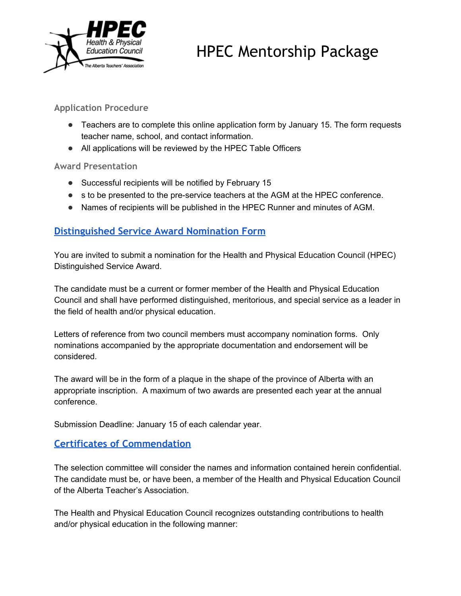

#### <span id="page-8-0"></span>**Application Procedure**

- Teachers are to complete this online application form by January 15. The form requests teacher name, school, and contact information.
- All applications will be reviewed by the HPEC Table Officers

#### <span id="page-8-1"></span>**Award Presentation**

- Successful recipients will be notified by February 15
- s to be presented to the pre-service teachers at the AGM at the HPEC conference.
- Names of recipients will be published in the HPEC Runner and minutes of AGM.

## <span id="page-8-2"></span>**[Distinguished](http://www.hpec.ab.ca/content.php?nid=1665&mid=883) Service Award Nomination Form**

You are invited to submit a nomination for the Health and Physical Education Council (HPEC) Distinguished Service Award.

The candidate must be a current or former member of the Health and Physical Education Council and shall have performed distinguished, meritorious, and special service as a leader in the field of health and/or physical education.

Letters of reference from two council members must accompany nomination forms. Only nominations accompanied by the appropriate documentation and endorsement will be considered.

The award will be in the form of a plaque in the shape of the province of Alberta with an appropriate inscription. A maximum of two awards are presented each year at the annual conference.

Submission Deadline: January 15 of each calendar year.

## <span id="page-8-3"></span>**Certificates of [Commendation](http://www.hpec.ab.ca/content.php?nid=1669&mid=883)**

The selection committee will consider the names and information contained herein confidential. The candidate must be, or have been, a member of the Health and Physical Education Council of the Alberta Teacher's Association.

The Health and Physical Education Council recognizes outstanding contributions to health and/or physical education in the following manner: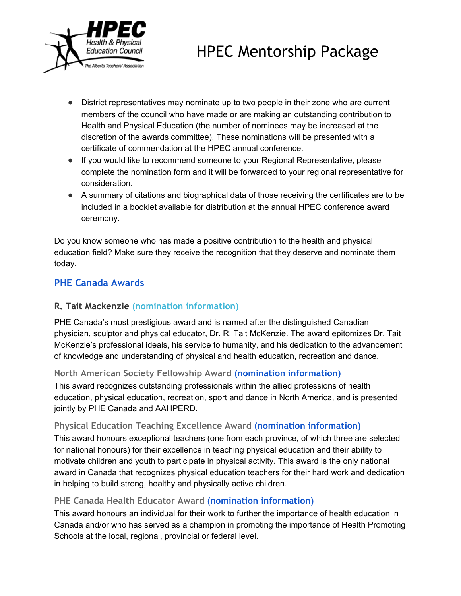

- District representatives may nominate up to two people in their zone who are current members of the council who have made or are making an outstanding contribution to Health and Physical Education (the number of nominees may be increased at the discretion of the awards committee). These nominations will be presented with a certificate of commendation at the HPEC annual conference.
- If you would like to recommend someone to your Regional Representative, please complete the nomination form and it will be forwarded to your regional representative for consideration.
- A summary of citations and biographical data of those receiving the certificates are to be included in a booklet available for distribution at the annual HPEC conference award ceremony.

Do you know someone who has made a positive contribution to the health and physical education field? Make sure they receive the recognition that they deserve and nominate them today.

## <span id="page-9-0"></span>**PHE Canada [Awards](http://www.hpec.ab.ca/content.php?nid=1673&mid=883)**

#### **R. Tait Mackenzie (nomination [information\)](http://www.phecanada.ca/awards/r-tait-mckenzie-award)**

PHE Canada's most prestigious award and is named after the distinguished Canadian physician, sculptor and physical educator, Dr. R. Tait McKenzie. The award epitomizes Dr. Tait McKenzie's professional ideals, his service to humanity, and his dedication to the advancement of knowledge and understanding of physical and health education, recreation and dance.

#### <span id="page-9-1"></span>**North American Society Fellowship Award (nomination [information\)](http://www.phecanada.ca/awards/north-american-society-fellowship%20)**

This award recognizes outstanding professionals within the allied professions of health education, physical education, recreation, sport and dance in North America, and is presented jointly by PHE Canada and AAHPERD.

#### **Physical Education Teaching Excellence Award (nomination [information\)](http://www.phecanada.ca/awards/excellence-physical-education)**

This award honours exceptional teachers (one from each province, of which three are selected for national honours) for their excellence in teaching physical education and their ability to motivate children and youth to participate in physical activity. This award is the only national award in Canada that recognizes physical education teachers for their hard work and dedication in helping to build strong, healthy and physically active children.

#### **PHE Canada Health Educator Award (nomination [information\)](http://www.phecanada.ca/awards/excellence-health-education)**

This award honours an individual for their work to further the importance of health education in Canada and/or who has served as a champion in promoting the importance of Health Promoting Schools at the local, regional, provincial or federal level.